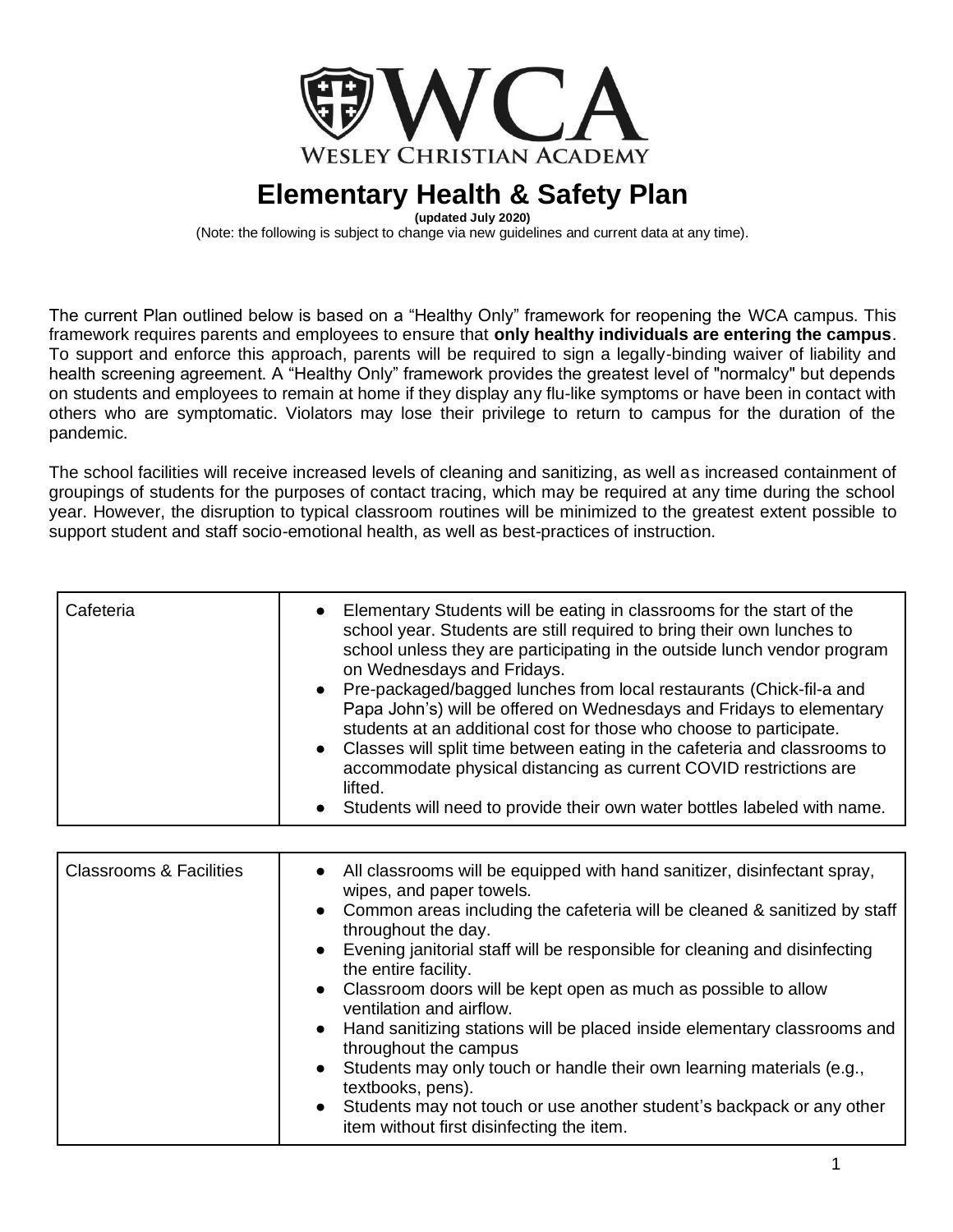

**(updated July 2020)**

(Note: the following is subject to change via new guidelines and current data at any time).

The current Plan outlined below is based on a "Healthy Only" framework for reopening the WCA campus. This framework requires parents and employees to ensure that **only healthy individuals are entering the campus**. To support and enforce this approach, parents will be required to sign a legally-binding waiver of liability and health screening agreement. A "Healthy Only" framework provides the greatest level of "normalcy" but depends on students and employees to remain at home if they display any flu-like symptoms or have been in contact with others who are symptomatic. Violators may lose their privilege to return to campus for the duration of the pandemic.

The school facilities will receive increased levels of cleaning and sanitizing, as well as increased containment of groupings of students for the purposes of contact tracing, which may be required at any time during the school year. However, the disruption to typical classroom routines will be minimized to the greatest extent possible to support student and staff socio-emotional health, as well as best-practices of instruction.

| <b>Classrooms &amp; Facilities</b> | • All classrooms will be equipped with hand sanitizer, disinfectant spray,<br>wipes, and paper towels.<br>• Common areas including the cafeteria will be cleaned & sanitized by staff<br>throughout the day.<br>• Evening janitorial staff will be responsible for cleaning and disinfecting<br>the entire facility.<br>• Classroom doors will be kept open as much as possible to allow<br>ventilation and airflow.<br>• Hand sanitizing stations will be placed inside elementary classrooms and<br>throughout the campus<br>• Students may only touch or handle their own learning materials (e.g.,<br>textbooks, pens).<br>• Students may not touch or use another student's backpack or any other |
|------------------------------------|--------------------------------------------------------------------------------------------------------------------------------------------------------------------------------------------------------------------------------------------------------------------------------------------------------------------------------------------------------------------------------------------------------------------------------------------------------------------------------------------------------------------------------------------------------------------------------------------------------------------------------------------------------------------------------------------------------|
|                                    | item without first disinfecting the item.                                                                                                                                                                                                                                                                                                                                                                                                                                                                                                                                                                                                                                                              |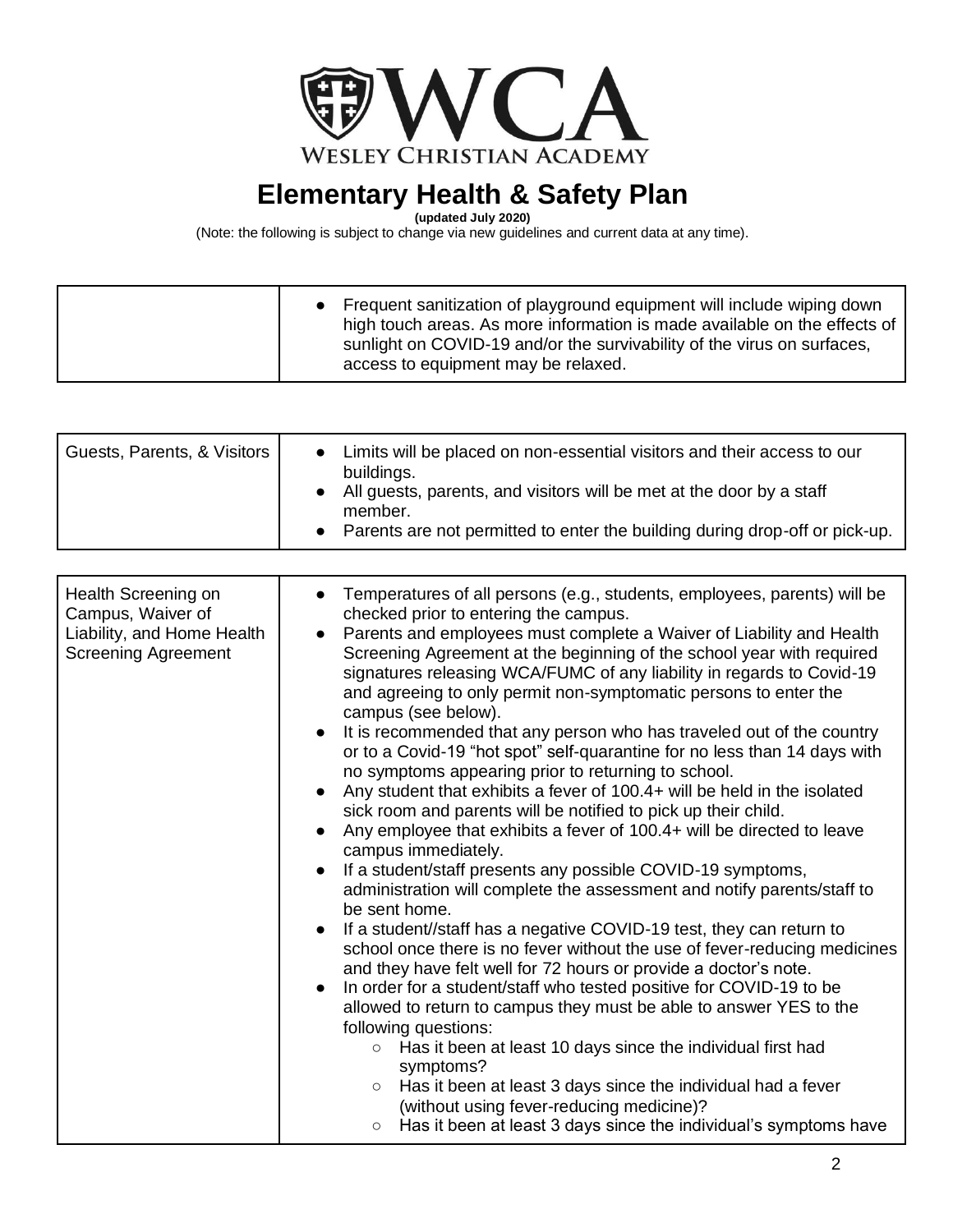

**(updated July 2020)**

| access to equipment may be relaxed. |  | • Frequent sanitization of playground equipment will include wiping down<br>high touch areas. As more information is made available on the effects of<br>sunlight on COVID-19 and/or the survivability of the virus on surfaces, |
|-------------------------------------|--|----------------------------------------------------------------------------------------------------------------------------------------------------------------------------------------------------------------------------------|
|-------------------------------------|--|----------------------------------------------------------------------------------------------------------------------------------------------------------------------------------------------------------------------------------|

| Guests, Parents, & Visitors                                                                          | Limits will be placed on non-essential visitors and their access to our<br>$\bullet$<br>buildings.<br>All guests, parents, and visitors will be met at the door by a staff<br>member.<br>Parents are not permitted to enter the building during drop-off or pick-up.                                                                                                                                                                                                                                                                                                                                                                                                                                                                                                                                                                                                                                                                                                                                                                                                                                                                                                                                                                                                                                                                                                                                                                                                                                                                                                                                                                                                                                                                                                  |
|------------------------------------------------------------------------------------------------------|-----------------------------------------------------------------------------------------------------------------------------------------------------------------------------------------------------------------------------------------------------------------------------------------------------------------------------------------------------------------------------------------------------------------------------------------------------------------------------------------------------------------------------------------------------------------------------------------------------------------------------------------------------------------------------------------------------------------------------------------------------------------------------------------------------------------------------------------------------------------------------------------------------------------------------------------------------------------------------------------------------------------------------------------------------------------------------------------------------------------------------------------------------------------------------------------------------------------------------------------------------------------------------------------------------------------------------------------------------------------------------------------------------------------------------------------------------------------------------------------------------------------------------------------------------------------------------------------------------------------------------------------------------------------------------------------------------------------------------------------------------------------------|
|                                                                                                      |                                                                                                                                                                                                                                                                                                                                                                                                                                                                                                                                                                                                                                                                                                                                                                                                                                                                                                                                                                                                                                                                                                                                                                                                                                                                                                                                                                                                                                                                                                                                                                                                                                                                                                                                                                       |
| Health Screening on<br>Campus, Waiver of<br>Liability, and Home Health<br><b>Screening Agreement</b> | Temperatures of all persons (e.g., students, employees, parents) will be<br>checked prior to entering the campus.<br>Parents and employees must complete a Waiver of Liability and Health<br>Screening Agreement at the beginning of the school year with required<br>signatures releasing WCA/FUMC of any liability in regards to Covid-19<br>and agreeing to only permit non-symptomatic persons to enter the<br>campus (see below).<br>It is recommended that any person who has traveled out of the country<br>or to a Covid-19 "hot spot" self-quarantine for no less than 14 days with<br>no symptoms appearing prior to returning to school.<br>Any student that exhibits a fever of 100.4+ will be held in the isolated<br>sick room and parents will be notified to pick up their child.<br>Any employee that exhibits a fever of 100.4+ will be directed to leave<br>campus immediately.<br>If a student/staff presents any possible COVID-19 symptoms,<br>administration will complete the assessment and notify parents/staff to<br>be sent home.<br>If a student//staff has a negative COVID-19 test, they can return to<br>school once there is no fever without the use of fever-reducing medicines<br>and they have felt well for 72 hours or provide a doctor's note.<br>In order for a student/staff who tested positive for COVID-19 to be<br>$\bullet$<br>allowed to return to campus they must be able to answer YES to the<br>following questions:<br>Has it been at least 10 days since the individual first had<br>$\circ$<br>symptoms?<br>Has it been at least 3 days since the individual had a fever<br>$\circ$<br>(without using fever-reducing medicine)?<br>Has it been at least 3 days since the individual's symptoms have<br>$\circ$ |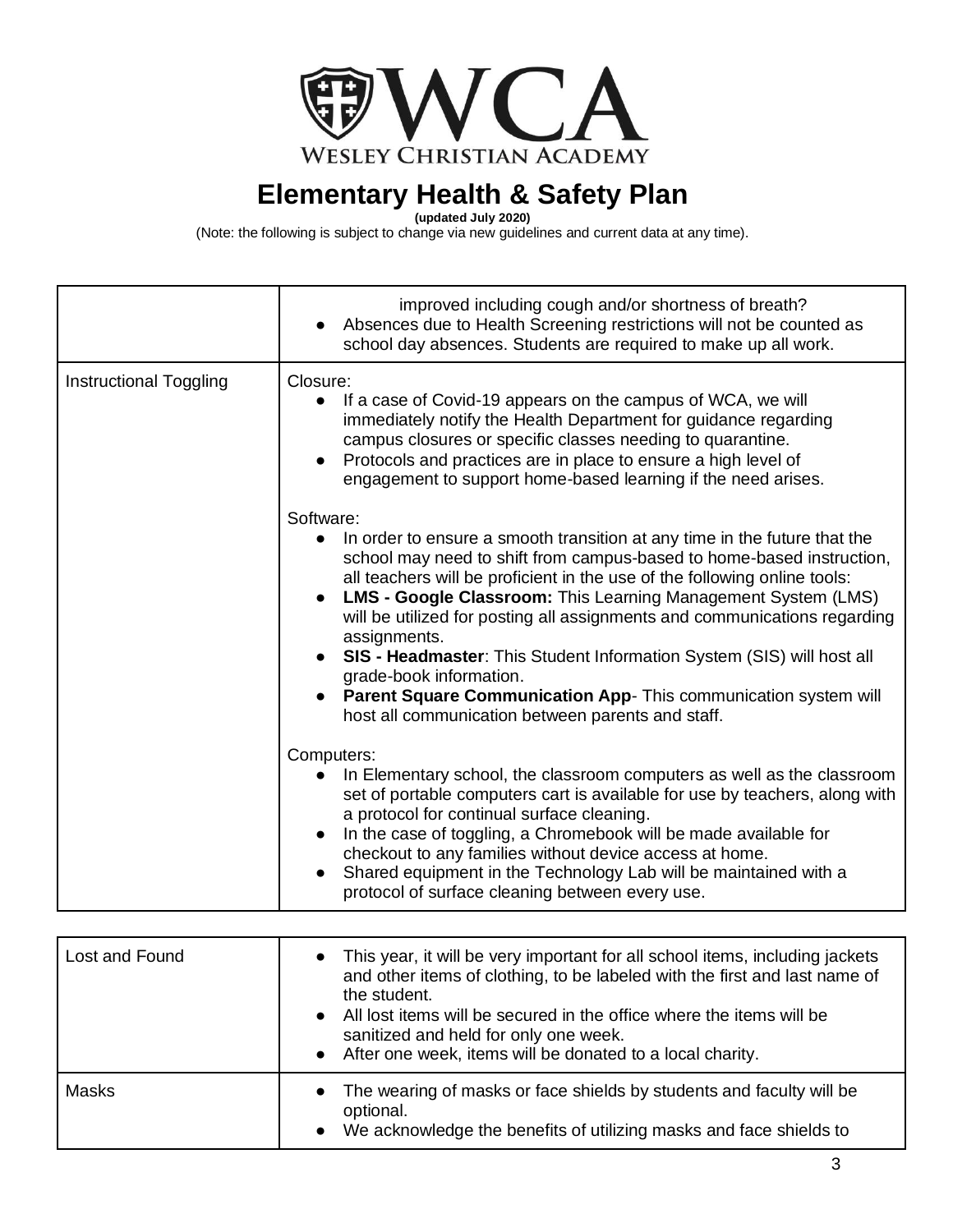

**(updated July 2020)**

|                               | improved including cough and/or shortness of breath?<br>Absences due to Health Screening restrictions will not be counted as<br>$\bullet$<br>school day absences. Students are required to make up all work.                                                                                                                                                                                                                                                                                                                                                                                                                                                        |
|-------------------------------|---------------------------------------------------------------------------------------------------------------------------------------------------------------------------------------------------------------------------------------------------------------------------------------------------------------------------------------------------------------------------------------------------------------------------------------------------------------------------------------------------------------------------------------------------------------------------------------------------------------------------------------------------------------------|
| <b>Instructional Toggling</b> | Closure:<br>If a case of Covid-19 appears on the campus of WCA, we will<br>$\bullet$<br>immediately notify the Health Department for guidance regarding<br>campus closures or specific classes needing to quarantine.<br>Protocols and practices are in place to ensure a high level of<br>engagement to support home-based learning if the need arises.                                                                                                                                                                                                                                                                                                            |
|                               | Software:<br>In order to ensure a smooth transition at any time in the future that the<br>$\bullet$<br>school may need to shift from campus-based to home-based instruction,<br>all teachers will be proficient in the use of the following online tools:<br><b>LMS - Google Classroom:</b> This Learning Management System (LMS)<br>will be utilized for posting all assignments and communications regarding<br>assignments.<br>• SIS - Headmaster: This Student Information System (SIS) will host all<br>grade-book information.<br><b>Parent Square Communication App-</b> This communication system will<br>host all communication between parents and staff. |
|                               | Computers:<br>In Elementary school, the classroom computers as well as the classroom<br>set of portable computers cart is available for use by teachers, along with<br>a protocol for continual surface cleaning.<br>In the case of toggling, a Chromebook will be made available for<br>$\bullet$<br>checkout to any families without device access at home.<br>Shared equipment in the Technology Lab will be maintained with a<br>protocol of surface cleaning between every use.                                                                                                                                                                                |

| Lost and Found | • This year, it will be very important for all school items, including jackets<br>and other items of clothing, to be labeled with the first and last name of<br>the student.<br>• All lost items will be secured in the office where the items will be<br>sanitized and held for only one week.<br>• After one week, items will be donated to a local charity. |
|----------------|----------------------------------------------------------------------------------------------------------------------------------------------------------------------------------------------------------------------------------------------------------------------------------------------------------------------------------------------------------------|
| <b>Masks</b>   | The wearing of masks or face shields by students and faculty will be<br>$\bullet$<br>optional.<br>• We acknowledge the benefits of utilizing masks and face shields to                                                                                                                                                                                         |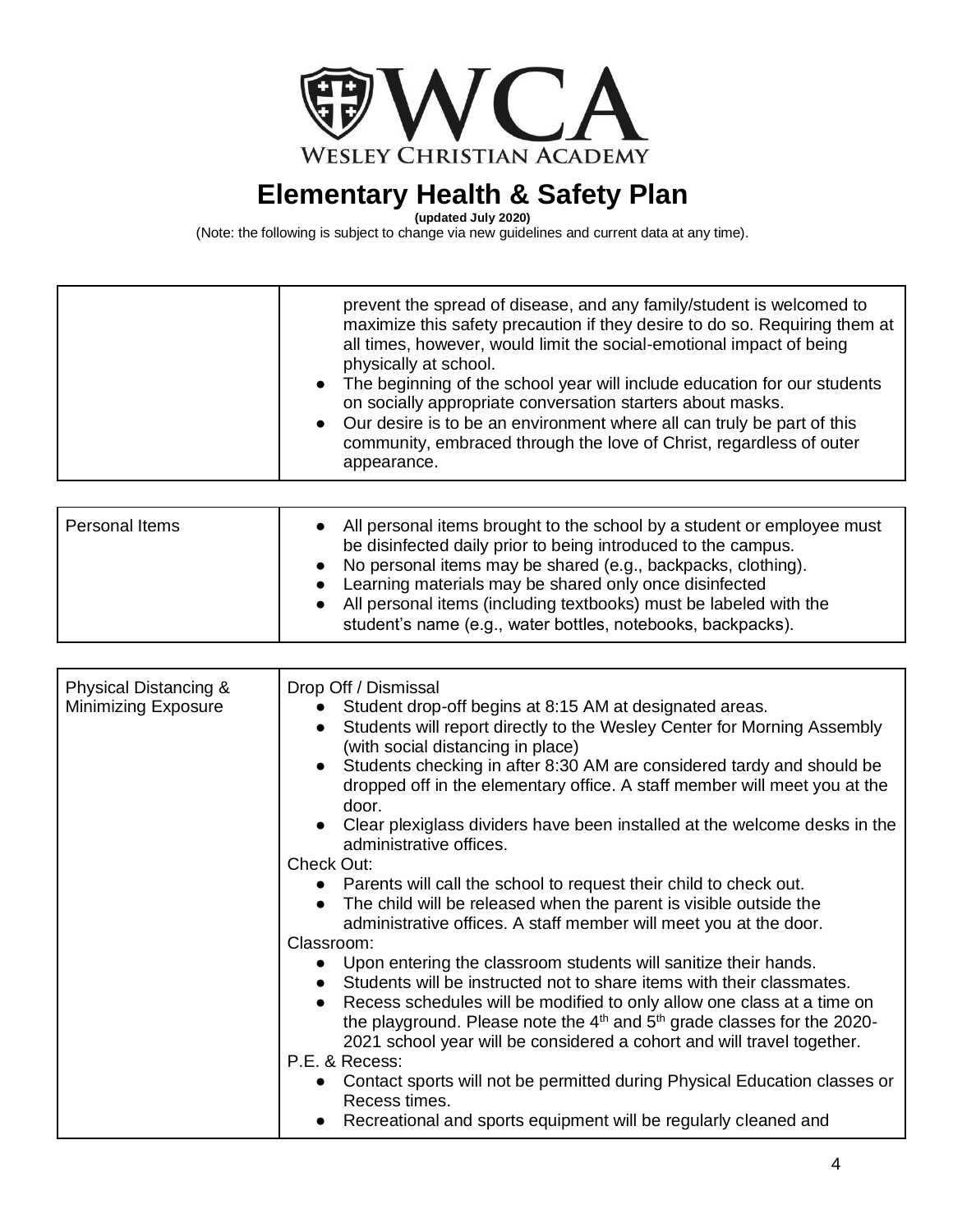

**(updated July 2020)**

|  | prevent the spread of disease, and any family/student is welcomed to<br>maximize this safety precaution if they desire to do so. Requiring them at<br>all times, however, would limit the social-emotional impact of being<br>physically at school.<br>• The beginning of the school year will include education for our students<br>on socially appropriate conversation starters about masks.<br>• Our desire is to be an environment where all can truly be part of this<br>community, embraced through the love of Christ, regardless of outer<br>appearance. |
|--|-------------------------------------------------------------------------------------------------------------------------------------------------------------------------------------------------------------------------------------------------------------------------------------------------------------------------------------------------------------------------------------------------------------------------------------------------------------------------------------------------------------------------------------------------------------------|
|--|-------------------------------------------------------------------------------------------------------------------------------------------------------------------------------------------------------------------------------------------------------------------------------------------------------------------------------------------------------------------------------------------------------------------------------------------------------------------------------------------------------------------------------------------------------------------|

| Personal Items | • All personal items brought to the school by a student or employee must<br>be disinfected daily prior to being introduced to the campus.<br>• No personal items may be shared (e.g., backpacks, clothing).<br>• Learning materials may be shared only once disinfected<br>• All personal items (including textbooks) must be labeled with the |
|----------------|------------------------------------------------------------------------------------------------------------------------------------------------------------------------------------------------------------------------------------------------------------------------------------------------------------------------------------------------|
|                | student's name (e.g., water bottles, notebooks, backpacks).                                                                                                                                                                                                                                                                                    |

| Physical Distancing &<br><b>Minimizing Exposure</b> | Drop Off / Dismissal<br>Student drop-off begins at 8:15 AM at designated areas.<br>• Students will report directly to the Wesley Center for Morning Assembly<br>(with social distancing in place)<br>Students checking in after 8:30 AM are considered tardy and should be<br>dropped off in the elementary office. A staff member will meet you at the<br>door.<br>Clear plexiglass dividers have been installed at the welcome desks in the<br>administrative offices.<br>Check Out:<br>• Parents will call the school to request their child to check out.<br>The child will be released when the parent is visible outside the<br>$\bullet$<br>administrative offices. A staff member will meet you at the door.<br>Classroom:<br>Upon entering the classroom students will sanitize their hands.<br>• Students will be instructed not to share items with their classmates.<br>Recess schedules will be modified to only allow one class at a time on<br>the playground. Please note the $4th$ and $5th$ grade classes for the 2020-<br>2021 school year will be considered a cohort and will travel together.<br>P.E. & Recess:<br>• Contact sports will not be permitted during Physical Education classes or |
|-----------------------------------------------------|----------------------------------------------------------------------------------------------------------------------------------------------------------------------------------------------------------------------------------------------------------------------------------------------------------------------------------------------------------------------------------------------------------------------------------------------------------------------------------------------------------------------------------------------------------------------------------------------------------------------------------------------------------------------------------------------------------------------------------------------------------------------------------------------------------------------------------------------------------------------------------------------------------------------------------------------------------------------------------------------------------------------------------------------------------------------------------------------------------------------------------------------------------------------------------------------------------------------|
|                                                     | Recess times.<br>Recreational and sports equipment will be regularly cleaned and                                                                                                                                                                                                                                                                                                                                                                                                                                                                                                                                                                                                                                                                                                                                                                                                                                                                                                                                                                                                                                                                                                                                     |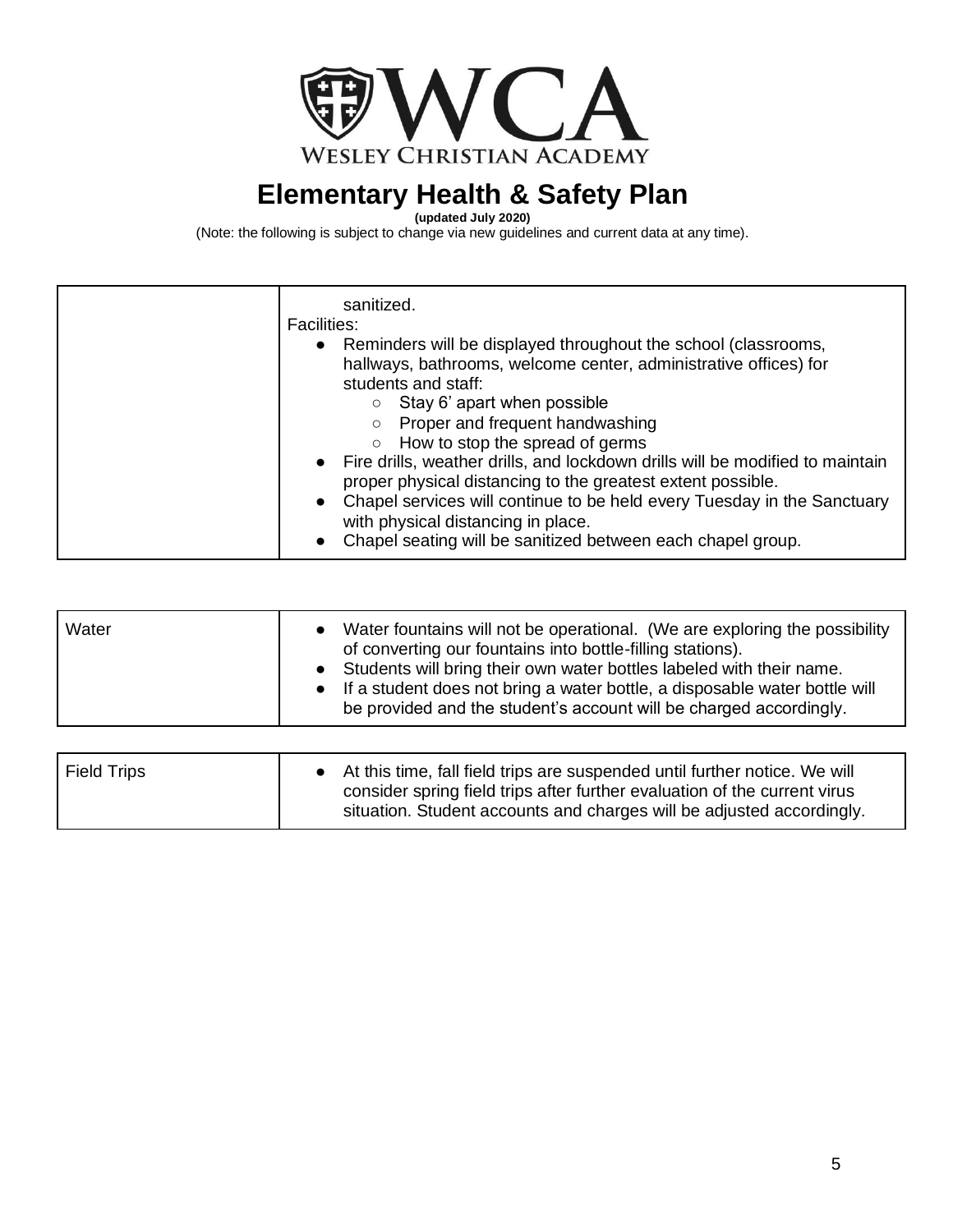

**(updated July 2020)**

| sanitized.<br><b>Facilities:</b><br>• Reminders will be displayed throughout the school (classrooms,<br>hallways, bathrooms, welcome center, administrative offices) for<br>students and staff:<br>Stay 6' apart when possible                                                                                                                                                                                               |
|------------------------------------------------------------------------------------------------------------------------------------------------------------------------------------------------------------------------------------------------------------------------------------------------------------------------------------------------------------------------------------------------------------------------------|
| Proper and frequent handwashing<br>How to stop the spread of germs<br>$\circ$<br>• Fire drills, weather drills, and lockdown drills will be modified to maintain<br>proper physical distancing to the greatest extent possible.<br>Chapel services will continue to be held every Tuesday in the Sanctuary<br>$\bullet$<br>with physical distancing in place.<br>Chapel seating will be sanitized between each chapel group. |

| Water | • Water fountains will not be operational. (We are exploring the possibility<br>of converting our fountains into bottle-filling stations).<br>• Students will bring their own water bottles labeled with their name.<br>• If a student does not bring a water bottle, a disposable water bottle will<br>be provided and the student's account will be charged accordingly. |
|-------|----------------------------------------------------------------------------------------------------------------------------------------------------------------------------------------------------------------------------------------------------------------------------------------------------------------------------------------------------------------------------|
|-------|----------------------------------------------------------------------------------------------------------------------------------------------------------------------------------------------------------------------------------------------------------------------------------------------------------------------------------------------------------------------------|

| <b>Field Trips</b> | • At this time, fall field trips are suspended until further notice. We will<br>consider spring field trips after further evaluation of the current virus<br>situation. Student accounts and charges will be adjusted accordingly. |
|--------------------|------------------------------------------------------------------------------------------------------------------------------------------------------------------------------------------------------------------------------------|
|                    |                                                                                                                                                                                                                                    |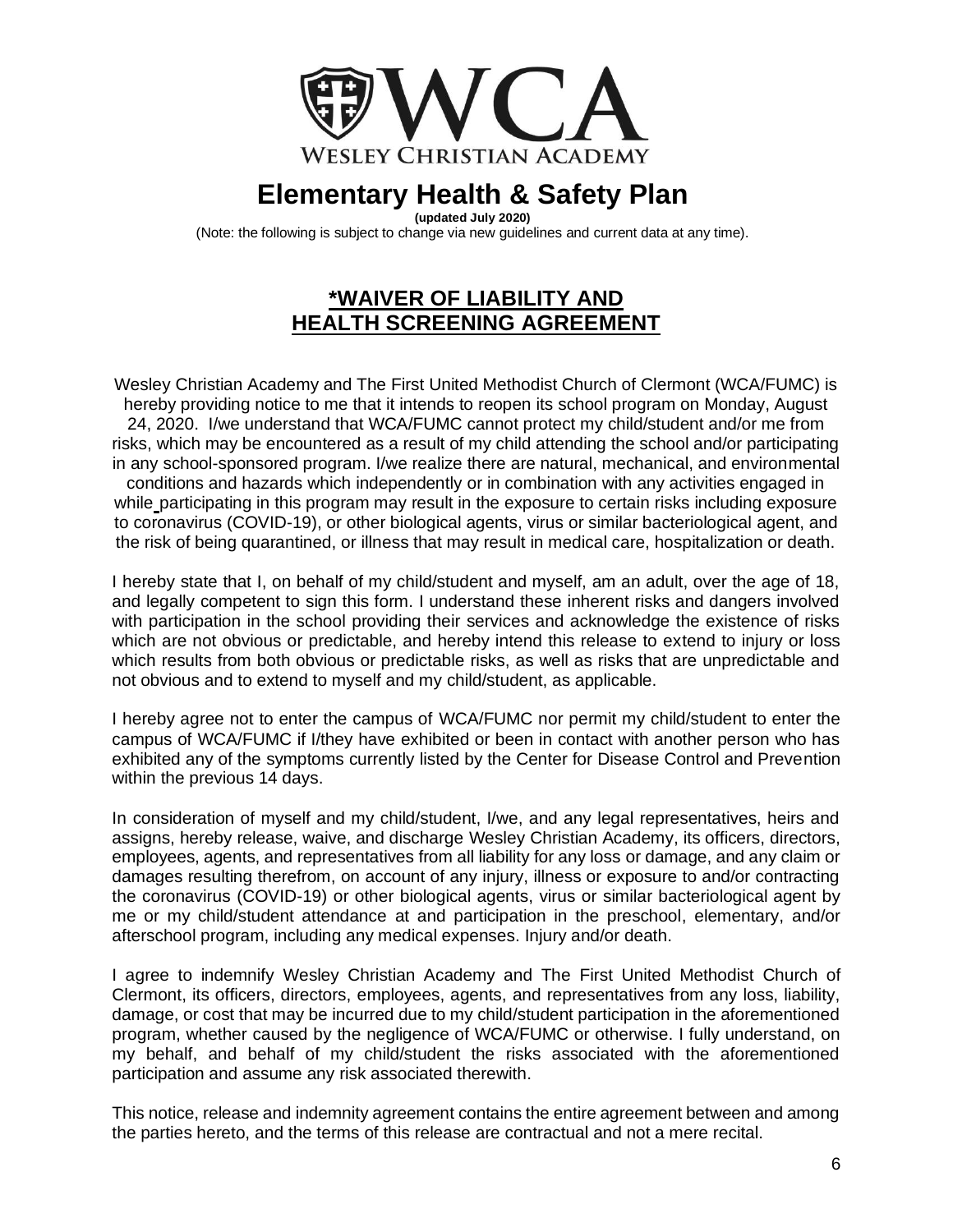

**(updated July 2020)**

(Note: the following is subject to change via new guidelines and current data at any time).

#### **\*WAIVER OF LIABILITY AND HEALTH SCREENING AGREEMENT**

Wesley Christian Academy and The First United Methodist Church of Clermont (WCA/FUMC) is hereby providing notice to me that it intends to reopen its school program on Monday, August 24, 2020. I/we understand that WCA/FUMC cannot protect my child/student and/or me from risks, which may be encountered as a result of my child attending the school and/or participating in any school-sponsored program. I/we realize there are natural, mechanical, and environmental conditions and hazards which independently or in combination with any activities engaged in while participating in this program may result in the exposure to certain risks including exposure to coronavirus (COVID-19), or other biological agents, virus or similar bacteriological agent, and the risk of being quarantined, or illness that may result in medical care, hospitalization or death.

I hereby state that I, on behalf of my child/student and myself, am an adult, over the age of 18, and legally competent to sign this form. I understand these inherent risks and dangers involved with participation in the school providing their services and acknowledge the existence of risks which are not obvious or predictable, and hereby intend this release to extend to injury or loss which results from both obvious or predictable risks, as well as risks that are unpredictable and not obvious and to extend to myself and my child/student, as applicable.

I hereby agree not to enter the campus of WCA/FUMC nor permit my child/student to enter the campus of WCA/FUMC if I/they have exhibited or been in contact with another person who has exhibited any of the symptoms currently listed by the Center for Disease Control and Prevention within the previous 14 days.

In consideration of myself and my child/student, I/we, and any legal representatives, heirs and assigns, hereby release, waive, and discharge Wesley Christian Academy, its officers, directors, employees, agents, and representatives from all liability for any loss or damage, and any claim or damages resulting therefrom, on account of any injury, illness or exposure to and/or contracting the coronavirus (COVID-19) or other biological agents, virus or similar bacteriological agent by me or my child/student attendance at and participation in the preschool, elementary, and/or afterschool program, including any medical expenses. Injury and/or death.

I agree to indemnify Wesley Christian Academy and The First United Methodist Church of Clermont, its officers, directors, employees, agents, and representatives from any loss, liability, damage, or cost that may be incurred due to my child/student participation in the aforementioned program, whether caused by the negligence of WCA/FUMC or otherwise. I fully understand, on my behalf, and behalf of my child/student the risks associated with the aforementioned participation and assume any risk associated therewith.

This notice, release and indemnity agreement contains the entire agreement between and among the parties hereto, and the terms of this release are contractual and not a mere recital.